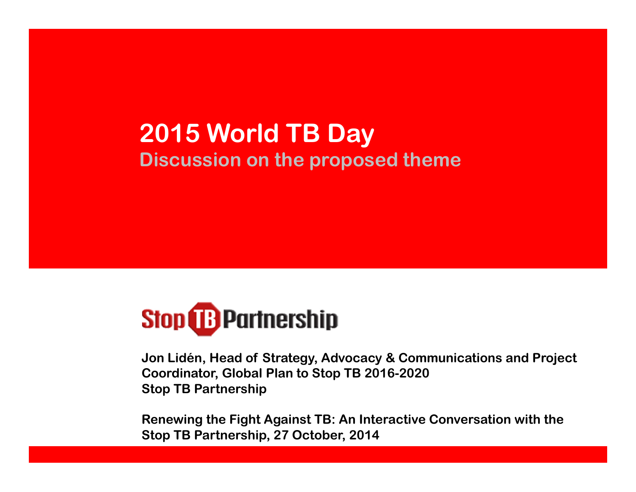# 2015 World TB DayDiscussion on the proposed theme



Jon Lidén, Head of Strategy, Advocacy & Communications and Project Coordinator, Global Plan to Stop TB 2016-2020Stop TB Partnership

Renewing the Fight Against TB: An Interactive Conversation with the Stop TB Partnership, 27 October, 2014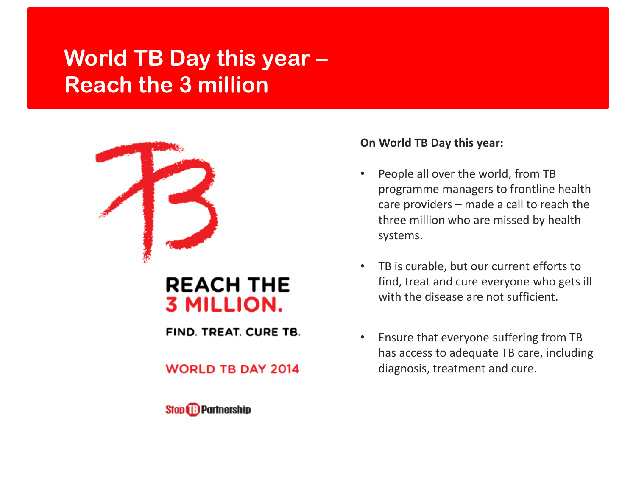## World TB Day this year –Reach the 3 million



### **REACH THE 3 MILLION.**

FIND. TREAT. CURE TB.

#### **WORLD TB DAY 2014**



#### On World TB Day this year:

- • People all over the world, from TB programme managers to frontline health care providers – made a call to reach the three million who are missed by health systems.
- • TB is curable, but our current efforts to find, treat and cure everyone who gets ill with the disease are not sufficient.
- • Ensure that everyone suffering from TB has access to adequate TB care, including diagnosis, treatment and cure.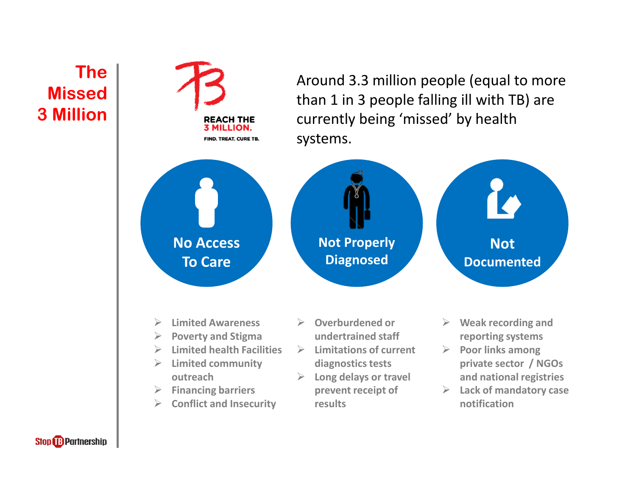## The Missed 3 Million



**Stop B** Partnership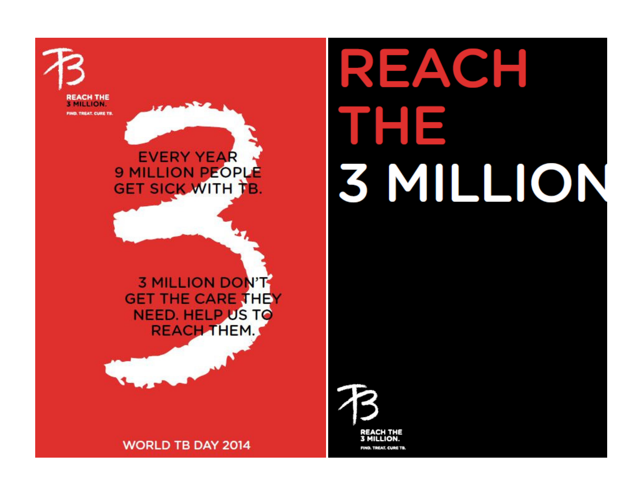

**3 MILLION DON'T GET THE CARE THEY NEED. HELP US TO REACH THEM.** 

**EVERY YEAR** 

**9 MILLION PEOPLE** 

**GET SICK WITH TB.** 

**REACH THE 3 MILLION.** 

FIND, TREAT, CURE TB.

**WORLD TB DAY 2014** 

REACH THE<br>3 MILLION. FIND. TREAT. CURE TB.